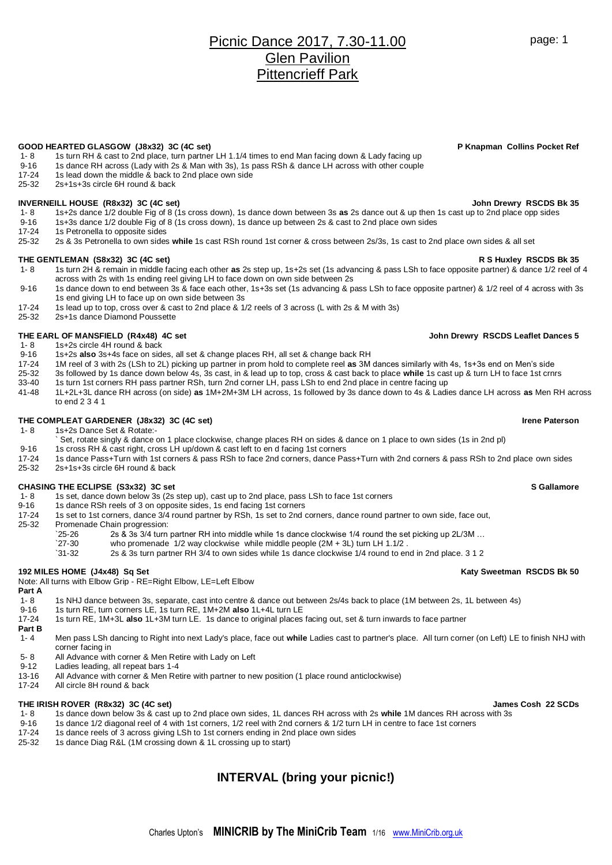**INTERVAL (bring your picnic!)**

# Picnic Dance 2017, 7.30-11.00 Glen Pavilion Pittencrieff Park

- GOOD HEARTED GLASGOW (J8x32) 3C (4C set)<br>1- 8 1sturn RH & cast to 2nd place, turn partner LH 1.1/4 times to end Man facing down & Lady facing up 1- 8 1s turn RH & cast to 2nd place, turn partner LH 1.1/4 times to end Man facing down & Lady facing up<br>9-16 1s dance RH across (Lady with 2s & Man with 3s). 1s pass RSh & dance LH across with other couple
- 1s dance RH across (Lady with 2s & Man with 3s), 1s pass RSh & dance LH across with other couple
- 17-24 1s lead down the middle & back to 2nd place own side<br>25-32 2s+1s+3s circle 6H round & back
- 25-32 2s+1s+3s circle 6H round & back

## **INVERNEILL HOUSE (R8x32) 3C (4C set) John Drewry RSCDS Bk 35**

- 1- 8 1s+2s dance 1/2 double Fig of 8 (1s cross down), 1s dance down between 3s **as** 2s dance out & up then 1s cast up to 2nd place opp sides
- 9-16 1s+3s dance 1/2 double Fig of 8 (1s cross down), 1s dance up between 2s & cast to 2nd place own sides
- 17-24 1s Petronella to opposite sides
- 25-32 2s & 3s Petronella to own sides **while** 1s cast RSh round 1st corner & cross between 2s/3s, 1s cast to 2nd place own sides & all set

# **THE GENTLEMAN (S8x32) 3C (4C set) R S Huxley RSCDS Bk 35**

- 1- 8 1s turn 2H & remain in middle facing each other **as** 2s step up, 1s+2s set (1s advancing & pass LSh to face opposite partner) & dance 1/2 reel of 4 across with 2s with 1s ending reel giving LH to face down on own side between 2s
- 9-16 1s dance down to end between 3s & face each other, 1s+3s set (1s advancing & pass LSh to face opposite partner) & 1/2 reel of 4 across with 3s 1s end giving LH to face up on own side between 3s
- 17-24 1s lead up to top, cross over & cast to 2nd place & 1/2 reels of 3 across (L with 2s & M with 3s)
- 25-32 2s+1s dance Diamond Poussette

# **THE EARL OF MANSFIELD (R4x48) 4C set John Drewry RSCDS Leaflet Dances 5**

- 1- 8 1s+2s circle 4H round & back<br>9-16 1s+2s also 3s+4s face on side
- 9-16 1s+2s **also** 3s+4s face on sides, all set & change places RH, all set & change back RH<br>17-24 1M reel of 3 with 2s (LSh to 2L) picking up partner in prom hold to complete reel **as** 3M
- 17-24 1M reel of 3 with 2s (LSh to 2L) picking up partner in prom hold to complete reel **as** 3M dances similarly with 4s, 1s+3s end on Men's side
- 25-32 3s followed by 1s dance down below 4s, 3s cast, in & lead up to top, cross & cast back to place **while** 1s cast up & turn LH to face 1st crnrs
- 33-40 1s turn 1st corners RH pass partner RSh, turn 2nd corner LH, pass LSh to end 2nd place in centre facing up
- 41-48 1L+2L+3L dance RH across (on side) **as** 1M+2M+3M LH across, 1s followed by 3s dance down to 4s & Ladies dance LH across **as** Men RH across to end 2 3 4 1

# **THE COMPLEAT GARDENER (J8x32) 3C (4C set) Irene Paterson**

1- 8 1s+2s Dance Set & Rotate:-

- Set, rotate singly & dance on 1 place clockwise, change places RH on sides & dance on 1 place to own sides (1s in 2nd pl)
- 9-16 1s cross RH & cast right, cross LH up/down & cast left to en d facing 1st corners
- 17-24 1s dance Pass+Turn with 1st corners & pass RSh to face 2nd corners, dance Pass+Turn with 2nd corners & pass RSh to 2nd place own sides<br>25-32 2s+1s+3s circle 6H round & back 25-32 2s+1s+3s circle 6H round & back

# **CHASING THE ECLIPSE (S3x32) 3C set S Gallamore**

- 1- 8 1s set, dance down below 3s (2s step up), cast up to 2nd place, pass LSh to face 1st corners<br>9-16 1s dance RSh reels of 3 on opposite sides 1s end facing 1st corners
- 1s dance RSh reels of 3 on opposite sides, 1s end facing 1st corners
- 17-24 1s set to 1st corners, dance 3/4 round partner by RSh, 1s set to 2nd corners, dance round partner to own side, face out, <br>25-32 Promenade Chain progression:
- Promenade Chain progression:
	- `25-26 2s & 3s 3/4 turn partner RH into middle while 1s dance clockwise 1/4 round the set picking up 2L/3M …
		- `27-30 who promenade 1/2 way clockwise while middle people (2M + 3L) turn LH 1.1/2 .
			- `31-32 2s & 3s turn partner RH 3/4 to own sides while 1s dance clockwise 1/4 round to end in 2nd place. 3 1 2

# **192 MILES HOME (J4x48) Sq Set Katy Sweetman RSCDS Bk 50**

Note: All turns with Elbow Grip - RE=Right Elbow, LE=Left Elbow

- **Part A**
- 1- 8 1s NHJ dance between 3s, separate, cast into centre & dance out between 2s/4s back to place (1M between 2s, 1L between 4s)<br>9-16 1s turn RE turn corners LE 1s turn RE 1M+2M also 1L+4L turn LE
- 9-16 1s turn RE, turn corners LE, 1s turn RE, 1M+2M **also** 1L+4L turn LE
- 17-24 1s turn RE, 1M+3L **also** 1L+3M turn LE. 1s dance to original places facing out, set & turn inwards to face partner
- **Part B**<br>1-4
- 1- 4 Men pass LSh dancing to Right into next Lady's place, face out **while** Ladies cast to partner's place. All turn corner (on Left) LE to finish NHJ with corner facing in
- 5- 8 All Advance with corner & Men Retire with Lady on Left
- 9-12 Ladies leading, all repeat bars 1-4
- 13-16 All Advance with corner & Men Retire with partner to new position (1 place round anticlockwise)
- 17-24 All circle 8H round & back

# **THE IRISH ROVER (R8x32) 3C (4C set) James Cosh 22 SCDs**

- 1- 8 1s dance down below 3s & cast up to 2nd place own sides, 1L dances RH across with 2s **while** 1M dances RH across with 3s
- 9-16 1s dance 1/2 diagonal reel of 4 with 1st corners, 1/2 reel with 2nd corners & 1/2 turn LH in centre to face 1st corners
- 17-24 1s dance reels of 3 across giving LSh to 1st corners ending in 2nd place own sides
- 25-32 1s dance Diag R&L (1M crossing down & 1L crossing up to start)

Charles Upton's **MINICRIB by The MiniCrib Team** 1/16www.MiniCrib.org.uk